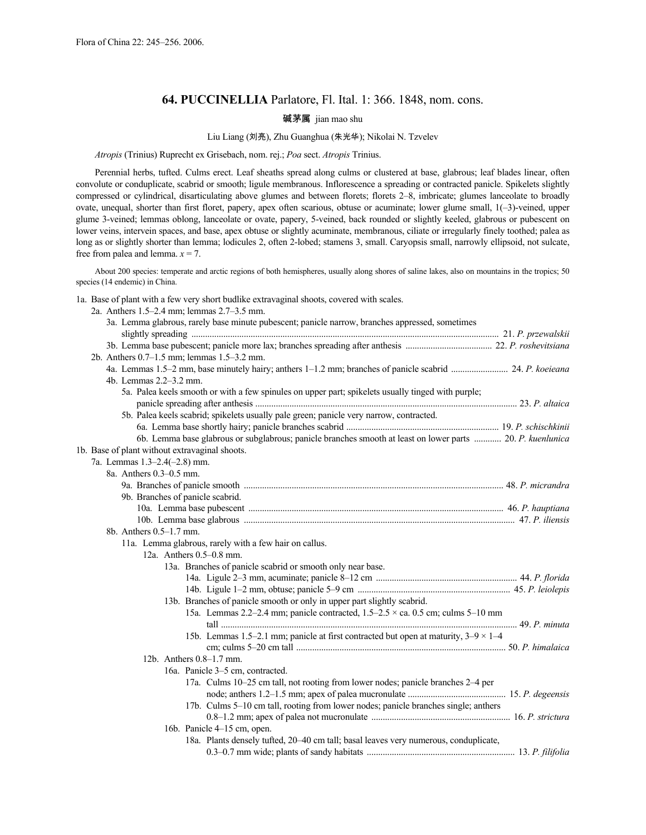# **64. PUCCINELLIA** Parlatore, Fl. Ital. 1: 366. 1848, nom. cons.

#### **碱茅属** jian mao shu

# Liu Liang (刘亮), Zhu Guanghua (朱光华); Nikolai N. Tzvelev

*Atropis* (Trinius) Ruprecht ex Grisebach, nom. rej.; *Poa* sect. *Atropis* Trinius.

Perennial herbs, tufted. Culms erect. Leaf sheaths spread along culms or clustered at base, glabrous; leaf blades linear, often convolute or conduplicate, scabrid or smooth; ligule membranous. Inflorescence a spreading or contracted panicle. Spikelets slightly compressed or cylindrical, disarticulating above glumes and between florets; florets 2–8, imbricate; glumes lanceolate to broadly ovate, unequal, shorter than first floret, papery, apex often scarious, obtuse or acuminate; lower glume small, 1(–3)-veined, upper glume 3-veined; lemmas oblong, lanceolate or ovate, papery, 5-veined, back rounded or slightly keeled, glabrous or pubescent on lower veins, intervein spaces, and base, apex obtuse or slightly acuminate, membranous, ciliate or irregularly finely toothed; palea as long as or slightly shorter than lemma; lodicules 2, often 2-lobed; stamens 3, small. Caryopsis small, narrowly ellipsoid, not sulcate, free from palea and lemma.  $x = 7$ .

About 200 species: temperate and arctic regions of both hemispheres, usually along shores of saline lakes, also on mountains in the tropics; 50 species (14 endemic) in China.

1a. Base of plant with a few very short budlike extravaginal shoots, covered with scales.

2a. Anthers 1.5–2.4 mm; lemmas 2.7–3.5 mm.

| 3a. Lemma glabrous, rarely base minute pubescent; panicle narrow, branches appressed, sometimes            |  |
|------------------------------------------------------------------------------------------------------------|--|
|                                                                                                            |  |
|                                                                                                            |  |
| 2b. Anthers 0.7-1.5 mm; lemmas 1.5-3.2 mm.                                                                 |  |
| 4b. Lemmas 2.2–3.2 mm.                                                                                     |  |
| 5a. Palea keels smooth or with a few spinules on upper part; spikelets usually tinged with purple;         |  |
|                                                                                                            |  |
| 5b. Palea keels scabrid; spikelets usually pale green; panicle very narrow, contracted.                    |  |
|                                                                                                            |  |
| 6b. Lemma base glabrous or subglabrous; panicle branches smooth at least on lower parts  20. P. kuenlunica |  |
| 1b. Base of plant without extravaginal shoots.                                                             |  |
| 7a. Lemmas 1.3-2.4(-2.8) mm.                                                                               |  |
| 8a. Anthers 0.3–0.5 mm.                                                                                    |  |
|                                                                                                            |  |
| 9b. Branches of panicle scabrid.                                                                           |  |
|                                                                                                            |  |
|                                                                                                            |  |
| 8b. Anthers 0.5–1.7 mm.                                                                                    |  |
| 11a. Lemma glabrous, rarely with a few hair on callus.                                                     |  |
| 12a. Anthers $0.5-0.8$ mm.                                                                                 |  |
| 13a. Branches of panicle scabrid or smooth only near base.                                                 |  |
|                                                                                                            |  |
|                                                                                                            |  |
| 13b. Branches of panicle smooth or only in upper part slightly scabrid.                                    |  |
| 15a. Lemmas 2.2–2.4 mm; panicle contracted, $1.5-2.5 \times$ ca. 0.5 cm; culms 5–10 mm                     |  |
|                                                                                                            |  |
| 15b. Lemmas 1.5–2.1 mm; panicle at first contracted but open at maturity, $3-9 \times 1-4$                 |  |
|                                                                                                            |  |
| 12b. Anthers 0.8-1.7 mm.                                                                                   |  |
| 16a. Panicle 3–5 cm, contracted.                                                                           |  |
| 17a. Culms 10-25 cm tall, not rooting from lower nodes; panicle branches 2-4 per                           |  |
|                                                                                                            |  |
| 17b. Culms 5–10 cm tall, rooting from lower nodes; panicle branches single; anthers                        |  |
|                                                                                                            |  |
| 16b. Panicle 4–15 cm, open.                                                                                |  |
| 18a. Plants densely tufted, 20-40 cm tall; basal leaves very numerous, conduplicate,                       |  |
|                                                                                                            |  |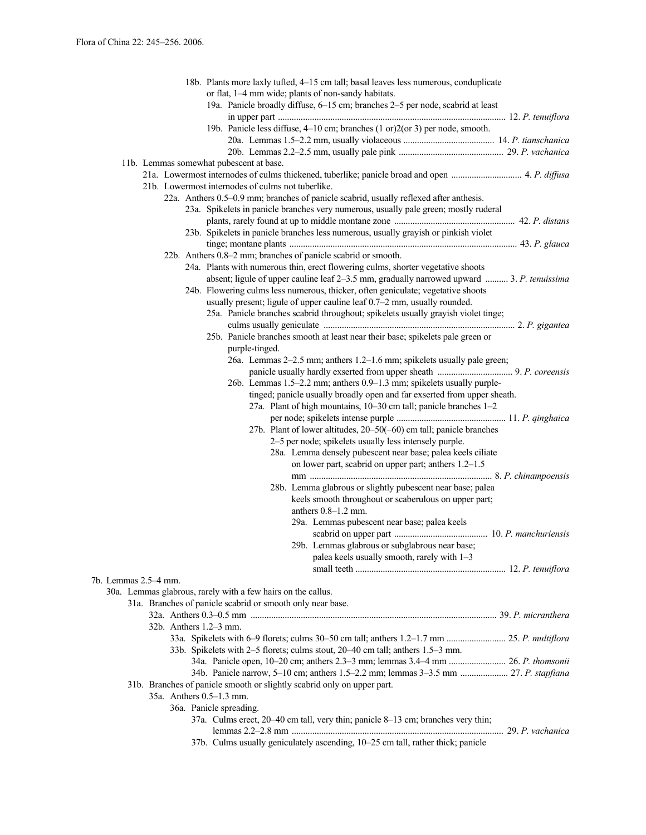| 18b. Plants more laxly tufted, 4-15 cm tall; basal leaves less numerous, conduplicate       |  |  |  |  |  |
|---------------------------------------------------------------------------------------------|--|--|--|--|--|
| or flat, 1-4 mm wide; plants of non-sandy habitats.                                         |  |  |  |  |  |
| 19a. Panicle broadly diffuse, 6-15 cm; branches 2-5 per node, scabrid at least              |  |  |  |  |  |
| 19b. Panicle less diffuse, 4–10 cm; branches (1 or)2(or 3) per node, smooth.                |  |  |  |  |  |
|                                                                                             |  |  |  |  |  |
|                                                                                             |  |  |  |  |  |
| 11b. Lemmas somewhat pubescent at base.                                                     |  |  |  |  |  |
|                                                                                             |  |  |  |  |  |
| 21b. Lowermost internodes of culms not tuberlike.                                           |  |  |  |  |  |
| 22a. Anthers 0.5–0.9 mm; branches of panicle scabrid, usually reflexed after anthesis.      |  |  |  |  |  |
| 23a. Spikelets in panicle branches very numerous, usually pale green; mostly ruderal        |  |  |  |  |  |
|                                                                                             |  |  |  |  |  |
| 23b. Spikelets in panicle branches less numerous, usually grayish or pinkish violet         |  |  |  |  |  |
|                                                                                             |  |  |  |  |  |
| 22b. Anthers 0.8–2 mm; branches of panicle scabrid or smooth.                               |  |  |  |  |  |
| 24a. Plants with numerous thin, erect flowering culms, shorter vegetative shoots            |  |  |  |  |  |
| absent; ligule of upper cauline leaf 2-3.5 mm, gradually narrowed upward  3. P. tenuissima  |  |  |  |  |  |
| 24b. Flowering culms less numerous, thicker, often geniculate; vegetative shoots            |  |  |  |  |  |
| usually present; ligule of upper cauline leaf 0.7–2 mm, usually rounded.                    |  |  |  |  |  |
| 25a. Panicle branches scabrid throughout; spikelets usually grayish violet tinge;           |  |  |  |  |  |
| 25b. Panicle branches smooth at least near their base; spikelets pale green or              |  |  |  |  |  |
| purple-tinged.                                                                              |  |  |  |  |  |
| 26a. Lemmas 2–2.5 mm; anthers 1.2–1.6 mm; spikelets usually pale green;                     |  |  |  |  |  |
|                                                                                             |  |  |  |  |  |
| 26b. Lemmas 1.5-2.2 mm; anthers 0.9-1.3 mm; spikelets usually purple-                       |  |  |  |  |  |
| tinged; panicle usually broadly open and far exserted from upper sheath.                    |  |  |  |  |  |
| 27a. Plant of high mountains, 10–30 cm tall; panicle branches 1–2                           |  |  |  |  |  |
|                                                                                             |  |  |  |  |  |
| 27b. Plant of lower altitudes, 20–50(–60) cm tall; panicle branches                         |  |  |  |  |  |
| 2–5 per node; spikelets usually less intensely purple.                                      |  |  |  |  |  |
| 28a. Lemma densely pubescent near base; palea keels ciliate                                 |  |  |  |  |  |
| on lower part, scabrid on upper part; anthers 1.2-1.5                                       |  |  |  |  |  |
|                                                                                             |  |  |  |  |  |
| 28b. Lemma glabrous or slightly pubescent near base; palea                                  |  |  |  |  |  |
| keels smooth throughout or scaberulous on upper part;                                       |  |  |  |  |  |
| anthers $0.8-1.2$ mm.                                                                       |  |  |  |  |  |
| 29a. Lemmas pubescent near base; palea keels                                                |  |  |  |  |  |
|                                                                                             |  |  |  |  |  |
| 29b. Lemmas glabrous or subglabrous near base;                                              |  |  |  |  |  |
| palea keels usually smooth, rarely with $1-3$                                               |  |  |  |  |  |
| 7b. Lemmas 2.5–4 mm.                                                                        |  |  |  |  |  |
| 30a. Lemmas glabrous, rarely with a few hairs on the callus.                                |  |  |  |  |  |
| 31a. Branches of panicle scabrid or smooth only near base.                                  |  |  |  |  |  |
|                                                                                             |  |  |  |  |  |
| 32b. Anthers 1.2–3 mm.                                                                      |  |  |  |  |  |
| 33a. Spikelets with 6-9 florets; culms 30-50 cm tall; anthers 1.2-1.7 mm  25. P. multiflora |  |  |  |  |  |
| 33b. Spikelets with 2-5 florets; culms stout, 20-40 cm tall; anthers 1.5-3 mm.              |  |  |  |  |  |
| 34a. Panicle open, 10–20 cm; anthers 2.3–3 mm; lemmas 3.4–4 mm  26. P. thomsonii            |  |  |  |  |  |
| 34b. Panicle narrow, 5-10 cm; anthers 1.5-2.2 mm; lemmas 3-3.5 mm  27. P. stapfiana         |  |  |  |  |  |
| 31b. Branches of panicle smooth or slightly scabrid only on upper part.                     |  |  |  |  |  |
| 35a. Anthers 0.5-1.3 mm.                                                                    |  |  |  |  |  |
| 36a. Panicle spreading.                                                                     |  |  |  |  |  |
| 37a. Culms erect, 20–40 cm tall, very thin; panicle 8–13 cm; branches very thin;            |  |  |  |  |  |
|                                                                                             |  |  |  |  |  |
| 37b. Culms usually geniculately ascending, 10-25 cm tall, rather thick; panicle             |  |  |  |  |  |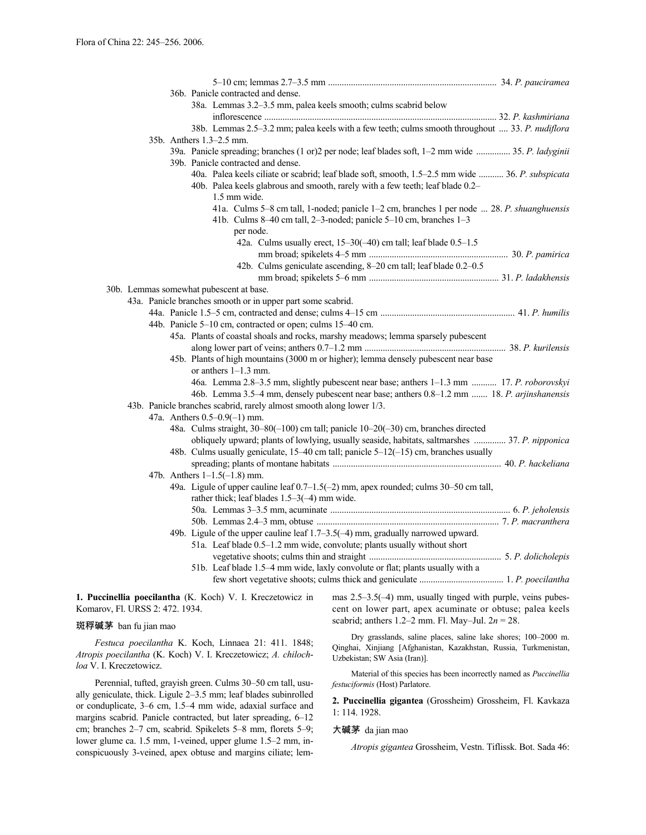| 36b. Panicle contracted and dense. |  |  |                                                                                                        |                                                                                                    |  |
|------------------------------------|--|--|--------------------------------------------------------------------------------------------------------|----------------------------------------------------------------------------------------------------|--|
|                                    |  |  | 38a. Lemmas 3.2-3.5 mm, palea keels smooth; culms scabrid below                                        |                                                                                                    |  |
|                                    |  |  |                                                                                                        |                                                                                                    |  |
|                                    |  |  |                                                                                                        | 38b. Lemmas 2.5-3.2 mm; palea keels with a few teeth; culms smooth throughout  33. P. nudiflora    |  |
|                                    |  |  | 35b. Anthers 1.3–2.5 mm.                                                                               |                                                                                                    |  |
|                                    |  |  |                                                                                                        | 39a. Panicle spreading; branches (1 or)2 per node; leaf blades soft, 1–2 mm wide  35. P. ladyginii |  |
|                                    |  |  | 39b. Panicle contracted and dense.                                                                     |                                                                                                    |  |
|                                    |  |  |                                                                                                        | 40a. Palea keels ciliate or scabrid; leaf blade soft, smooth, 1.5–2.5 mm wide  36. P. subspicata   |  |
|                                    |  |  |                                                                                                        | 40b. Palea keels glabrous and smooth, rarely with a few teeth; leaf blade 0.2-                     |  |
|                                    |  |  | 1.5 mm wide.                                                                                           |                                                                                                    |  |
|                                    |  |  |                                                                                                        | 41a. Culms 5–8 cm tall, 1-noded; panicle 1–2 cm, branches 1 per node  28. P. shuanghuensis         |  |
|                                    |  |  |                                                                                                        | 41b. Culms 8–40 cm tall, 2–3-noded; panicle 5–10 cm, branches 1–3                                  |  |
|                                    |  |  | per node.                                                                                              |                                                                                                    |  |
|                                    |  |  |                                                                                                        | 42a. Culms usually erect, 15-30(-40) cm tall; leaf blade 0.5-1.5                                   |  |
|                                    |  |  |                                                                                                        |                                                                                                    |  |
|                                    |  |  |                                                                                                        | 42b. Culms geniculate ascending, 8-20 cm tall; leaf blade 0.2-0.5                                  |  |
|                                    |  |  |                                                                                                        |                                                                                                    |  |
|                                    |  |  |                                                                                                        |                                                                                                    |  |
|                                    |  |  | 30b. Lemmas somewhat pubescent at base.<br>43a. Panicle branches smooth or in upper part some scabrid. |                                                                                                    |  |
|                                    |  |  |                                                                                                        |                                                                                                    |  |
|                                    |  |  |                                                                                                        |                                                                                                    |  |
|                                    |  |  | 44b. Panicle 5-10 cm, contracted or open; culms 15-40 cm.                                              |                                                                                                    |  |
|                                    |  |  |                                                                                                        | 45a. Plants of coastal shoals and rocks, marshy meadows; lemma sparsely pubescent                  |  |
|                                    |  |  |                                                                                                        |                                                                                                    |  |
|                                    |  |  |                                                                                                        | 45b. Plants of high mountains (3000 m or higher); lemma densely pubescent near base                |  |
|                                    |  |  | or anthers $1-1.3$ mm.                                                                                 |                                                                                                    |  |
|                                    |  |  |                                                                                                        | 46a. Lemma 2.8-3.5 mm, slightly pubescent near base; anthers 1-1.3 mm  17. P. roborovskyi          |  |
|                                    |  |  |                                                                                                        | 46b. Lemma 3.5–4 mm, densely pubescent near base; anthers 0.8–1.2 mm  18. P. arjinshanensis        |  |
|                                    |  |  | 43b. Panicle branches scabrid, rarely almost smooth along lower 1/3.                                   |                                                                                                    |  |
|                                    |  |  | 47a. Anthers $0.5 - 0.9(-1)$ mm.                                                                       |                                                                                                    |  |
|                                    |  |  |                                                                                                        | 48a. Culms straight, 30-80(-100) cm tall; panicle 10-20(-30) cm, branches directed                 |  |
|                                    |  |  |                                                                                                        | obliquely upward; plants of lowlying, usually seaside, habitats, saltmarshes  37. P. nipponica     |  |
|                                    |  |  |                                                                                                        | 48b. Culms usually geniculate, 15-40 cm tall; panicle 5-12(-15) cm, branches usually               |  |
|                                    |  |  |                                                                                                        |                                                                                                    |  |
|                                    |  |  | 47b. Anthers $1-1.5(-1.8)$ mm.                                                                         |                                                                                                    |  |
|                                    |  |  |                                                                                                        | 49a. Ligule of upper cauline leaf 0.7-1.5(-2) mm, apex rounded; culms 30-50 cm tall,               |  |
|                                    |  |  | rather thick; leaf blades $1.5-3(-4)$ mm wide.                                                         |                                                                                                    |  |
|                                    |  |  |                                                                                                        |                                                                                                    |  |
|                                    |  |  |                                                                                                        |                                                                                                    |  |
|                                    |  |  |                                                                                                        | 49b. Ligule of the upper cauline leaf 1.7–3.5(-4) mm, gradually narrowed upward.                   |  |
|                                    |  |  |                                                                                                        | 51a. Leaf blade 0.5-1.2 mm wide, convolute; plants usually without short                           |  |
|                                    |  |  |                                                                                                        |                                                                                                    |  |
|                                    |  |  |                                                                                                        | 51b. Leaf blade 1.5-4 mm wide, laxly convolute or flat; plants usually with a                      |  |
|                                    |  |  |                                                                                                        |                                                                                                    |  |
|                                    |  |  |                                                                                                        |                                                                                                    |  |

**1. Puccinellia poecilantha** (K. Koch) V. I. Kreczetowicz in Komarov, Fl. URSS 2: 472. 1934.

#### 斑稃碱茅 ban fu jian mao

*Festuca poecilantha* K. Koch, Linnaea 21: 411. 1848; *Atropis poecilantha* (K. Koch) V. I. Kreczetowicz; *A. chilochloa* V. I. Kreczetowicz.

Perennial, tufted, grayish green. Culms 30–50 cm tall, usually geniculate, thick. Ligule 2–3.5 mm; leaf blades subinrolled or conduplicate, 3–6 cm, 1.5–4 mm wide, adaxial surface and margins scabrid. Panicle contracted, but later spreading, 6–12 cm; branches 2–7 cm, scabrid. Spikelets 5–8 mm, florets 5–9; lower glume ca. 1.5 mm, 1-veined, upper glume 1.5–2 mm, inconspicuously 3-veined, apex obtuse and margins ciliate; lemmas 2.5–3.5(–4) mm, usually tinged with purple, veins pubescent on lower part, apex acuminate or obtuse; palea keels scabrid; anthers 1.2–2 mm. Fl. May–Jul. 2*n* = 28.

Dry grasslands, saline places, saline lake shores; 100–2000 m. Qinghai, Xinjiang [Afghanistan, Kazakhstan, Russia, Turkmenistan, Uzbekistan; SW Asia (Iran)].

Material of this species has been incorrectly named as *Puccinellia festuciformis* (Host) Parlatore.

**2. Puccinellia gigantea** (Grossheim) Grossheim, Fl. Kavkaza 1: 114. 1928.

## 大碱茅 da jian mao

*Atropis gigantea* Grossheim, Vestn. Tiflissk. Bot. Sada 46: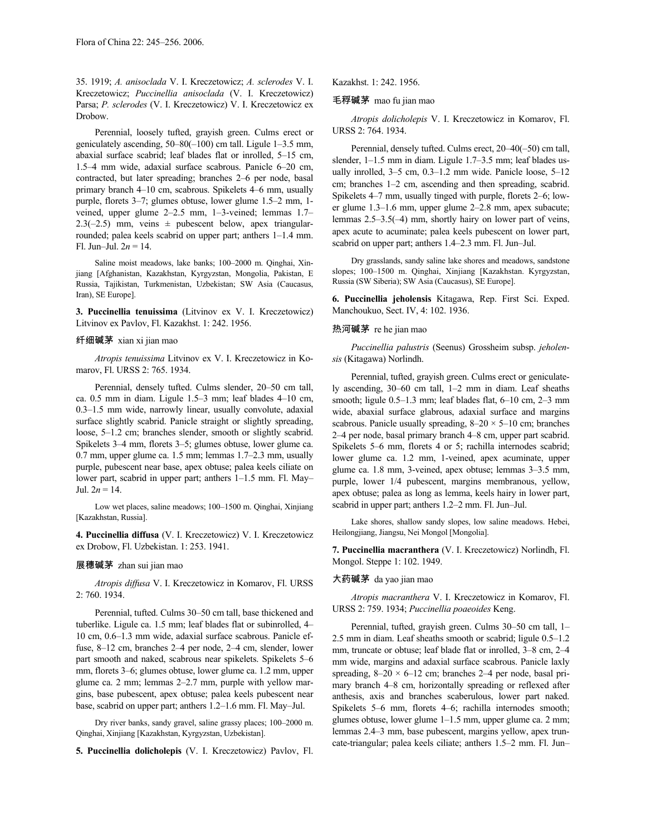35. 1919; *A. anisoclada* V. I. Kreczetowicz; *A. sclerodes* V. I. Kreczetowicz; *Puccinellia anisoclada* (V. I. Kreczetowicz) Parsa; *P. sclerodes* (V. I. Kreczetowicz) V. I. Kreczetowicz ex Drobow.

Perennial, loosely tufted, grayish green. Culms erect or geniculately ascending, 50–80(–100) cm tall. Ligule 1–3.5 mm, abaxial surface scabrid; leaf blades flat or inrolled, 5–15 cm, 1.5–4 mm wide, adaxial surface scabrous. Panicle 6–20 cm, contracted, but later spreading; branches 2–6 per node, basal primary branch 4–10 cm, scabrous. Spikelets 4–6 mm, usually purple, florets 3–7; glumes obtuse, lower glume 1.5–2 mm, 1 veined, upper glume 2–2.5 mm, 1–3-veined; lemmas 1.7– 2.3(-2.5) mm, veins  $\pm$  pubescent below, apex triangularrounded; palea keels scabrid on upper part; anthers 1–1.4 mm. Fl. Jun–Jul.  $2n = 14$ .

Saline moist meadows, lake banks; 100–2000 m. Qinghai, Xinjiang [Afghanistan, Kazakhstan, Kyrgyzstan, Mongolia, Pakistan, E Russia, Tajikistan, Turkmenistan, Uzbekistan; SW Asia (Caucasus, Iran), SE Europe].

**3. Puccinellia tenuissima** (Litvinov ex V. I. Kreczetowicz) Litvinov ex Pavlov, Fl. Kazakhst. 1: 242. 1956.

# 纤细碱茅 xian xi jian mao

*Atropis tenuissima* Litvinov ex V. I. Kreczetowicz in Komarov, Fl. URSS 2: 765. 1934.

Perennial, densely tufted. Culms slender, 20–50 cm tall, ca. 0.5 mm in diam. Ligule 1.5–3 mm; leaf blades 4–10 cm, 0.3–1.5 mm wide, narrowly linear, usually convolute, adaxial surface slightly scabrid. Panicle straight or slightly spreading, loose, 5–1.2 cm; branches slender, smooth or slightly scabrid. Spikelets 3–4 mm, florets 3–5; glumes obtuse, lower glume ca. 0.7 mm, upper glume ca. 1.5 mm; lemmas 1.7–2.3 mm, usually purple, pubescent near base, apex obtuse; palea keels ciliate on lower part, scabrid in upper part; anthers 1–1.5 mm. Fl. May– Jul.  $2n = 14$ .

Low wet places, saline meadows; 100–1500 m. Qinghai, Xinjiang [Kazakhstan, Russia].

**4. Puccinellia diffusa** (V. I. Kreczetowicz) V. I. Kreczetowicz ex Drobow, Fl. Uzbekistan. 1: 253. 1941.

# 展穗碱茅 zhan sui jian mao

*Atropis diffusa* V. I. Kreczetowicz in Komarov, Fl. URSS 2: 760. 1934.

Perennial, tufted. Culms 30–50 cm tall, base thickened and tuberlike. Ligule ca. 1.5 mm; leaf blades flat or subinrolled, 4– 10 cm, 0.6–1.3 mm wide, adaxial surface scabrous. Panicle effuse, 8–12 cm, branches 2–4 per node, 2–4 cm, slender, lower part smooth and naked, scabrous near spikelets. Spikelets 5–6 mm, florets 3–6; glumes obtuse, lower glume ca. 1.2 mm, upper glume ca. 2 mm; lemmas 2–2.7 mm, purple with yellow margins, base pubescent, apex obtuse; palea keels pubescent near base, scabrid on upper part; anthers 1.2–1.6 mm. Fl. May–Jul.

Dry river banks, sandy gravel, saline grassy places; 100–2000 m. Qinghai, Xinjiang [Kazakhstan, Kyrgyzstan, Uzbekistan].

**5. Puccinellia dolicholepis** (V. I. Kreczetowicz) Pavlov, Fl.

Kazakhst. 1: 242. 1956.

### 毛稃碱茅 mao fu jian mao

*Atropis dolicholepis* V. I. Kreczetowicz in Komarov, Fl. URSS 2: 764. 1934.

Perennial, densely tufted. Culms erect, 20–40(–50) cm tall, slender, 1–1.5 mm in diam. Ligule 1.7–3.5 mm; leaf blades usually inrolled, 3–5 cm, 0.3–1.2 mm wide. Panicle loose, 5–12 cm; branches 1–2 cm, ascending and then spreading, scabrid. Spikelets 4–7 mm, usually tinged with purple, florets 2–6; lower glume 1.3–1.6 mm, upper glume 2–2.8 mm, apex subacute; lemmas 2.5–3.5(–4) mm, shortly hairy on lower part of veins, apex acute to acuminate; palea keels pubescent on lower part, scabrid on upper part; anthers 1.4–2.3 mm. Fl. Jun–Jul.

Dry grasslands, sandy saline lake shores and meadows, sandstone slopes; 100–1500 m. Qinghai, Xinjiang [Kazakhstan. Kyrgyzstan, Russia (SW Siberia); SW Asia (Caucasus), SE Europe].

**6. Puccinellia jeholensis** Kitagawa, Rep. First Sci. Exped. Manchoukuo, Sect. IV, 4: 102. 1936.

### 热河碱茅 re he jian mao

*Puccinellia palustris* (Seenus) Grossheim subsp. *jeholensis* (Kitagawa) Norlindh.

Perennial, tufted, grayish green. Culms erect or geniculately ascending, 30–60 cm tall, 1–2 mm in diam. Leaf sheaths smooth; ligule 0.5–1.3 mm; leaf blades flat, 6–10 cm, 2–3 mm wide, abaxial surface glabrous, adaxial surface and margins scabrous. Panicle usually spreading,  $8-20 \times 5-10$  cm; branches 2–4 per node, basal primary branch 4–8 cm, upper part scabrid. Spikelets 5–6 mm, florets 4 or 5; rachilla internodes scabrid; lower glume ca. 1.2 mm, 1-veined, apex acuminate, upper glume ca. 1.8 mm, 3-veined, apex obtuse; lemmas 3–3.5 mm, purple, lower 1/4 pubescent, margins membranous, yellow, apex obtuse; palea as long as lemma, keels hairy in lower part, scabrid in upper part; anthers 1.2–2 mm. Fl. Jun–Jul.

Lake shores, shallow sandy slopes, low saline meadows. Hebei, Heilongjiang, Jiangsu, Nei Mongol [Mongolia].

**7. Puccinellia macranthera** (V. I. Kreczetowicz) Norlindh, Fl. Mongol. Steppe 1: 102. 1949.

### 大药碱茅 da yao jian mao

*Atropis macranthera* V. I. Kreczetowicz in Komarov, Fl. URSS 2: 759. 1934; *Puccinellia poaeoides* Keng.

Perennial, tufted, grayish green. Culms 30–50 cm tall, 1– 2.5 mm in diam. Leaf sheaths smooth or scabrid; ligule 0.5–1.2 mm, truncate or obtuse; leaf blade flat or inrolled, 3–8 cm, 2–4 mm wide, margins and adaxial surface scabrous. Panicle laxly spreading,  $8-20 \times 6-12$  cm; branches 2-4 per node, basal primary branch 4–8 cm, horizontally spreading or reflexed after anthesis, axis and branches scaberulous, lower part naked. Spikelets 5–6 mm, florets 4–6; rachilla internodes smooth; glumes obtuse, lower glume 1–1.5 mm, upper glume ca. 2 mm; lemmas 2.4–3 mm, base pubescent, margins yellow, apex truncate-triangular; palea keels ciliate; anthers 1.5–2 mm. Fl. Jun–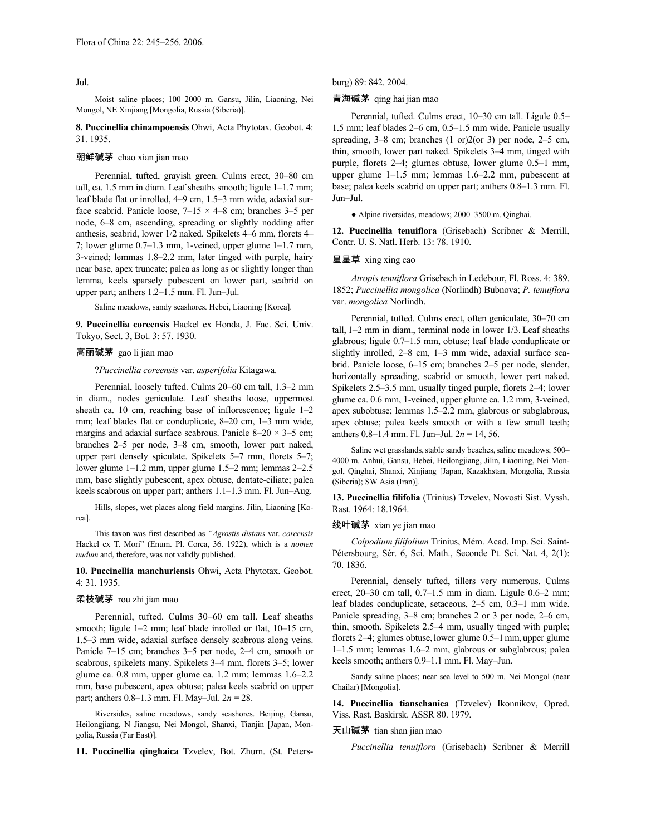Jul.

Moist saline places; 100–2000 m. Gansu, Jilin, Liaoning, Nei Mongol, NE Xinjiang [Mongolia, Russia (Siberia)].

**8. Puccinellia chinampoensis** Ohwi, Acta Phytotax. Geobot. 4: 31. 1935.

#### 朝鲜碱茅 chao xian jian mao

Perennial, tufted, grayish green. Culms erect, 30–80 cm tall, ca. 1.5 mm in diam. Leaf sheaths smooth; ligule 1–1.7 mm; leaf blade flat or inrolled, 4–9 cm, 1.5–3 mm wide, adaxial surface scabrid. Panicle loose,  $7-15 \times 4-8$  cm; branches 3-5 per node, 6–8 cm, ascending, spreading or slightly nodding after anthesis, scabrid, lower 1/2 naked. Spikelets 4–6 mm, florets 4– 7; lower glume 0.7–1.3 mm, 1-veined, upper glume 1–1.7 mm, 3-veined; lemmas 1.8–2.2 mm, later tinged with purple, hairy near base, apex truncate; palea as long as or slightly longer than lemma, keels sparsely pubescent on lower part, scabrid on upper part; anthers 1.2–1.5 mm. Fl. Jun–Jul.

Saline meadows, sandy seashores. Hebei, Liaoning [Korea].

**9. Puccinellia coreensis** Hackel ex Honda, J. Fac. Sci. Univ. Tokyo, Sect. 3, Bot. 3: 57. 1930.

### 高丽碱茅 gao li jian mao

?*Puccinellia coreensis* var. *asperifolia* Kitagawa.

Perennial, loosely tufted. Culms 20–60 cm tall, 1.3–2 mm in diam., nodes geniculate. Leaf sheaths loose, uppermost sheath ca. 10 cm, reaching base of inflorescence; ligule 1–2 mm; leaf blades flat or conduplicate, 8–20 cm, 1–3 mm wide, margins and adaxial surface scabrous. Panicle  $8-20 \times 3-5$  cm; branches 2–5 per node, 3–8 cm, smooth, lower part naked, upper part densely spiculate. Spikelets 5–7 mm, florets 5–7; lower glume 1–1.2 mm, upper glume 1.5–2 mm; lemmas 2–2.5 mm, base slightly pubescent, apex obtuse, dentate-ciliate; palea keels scabrous on upper part; anthers 1.1–1.3 mm. Fl. Jun–Aug.

Hills, slopes, wet places along field margins. Jilin, Liaoning [Korea].

This taxon was first described as *"Agrostis distans* var. *coreensis* Hackel ex T. Mori" (Enum. Pl. Corea, 36. 1922), which is a *nomen nudum* and, therefore, was not validly published.

#### **10. Puccinellia manchuriensis** Ohwi, Acta Phytotax. Geobot. 4: 31. 1935.

### 柔枝碱茅 rou zhi jian mao

Perennial, tufted. Culms 30–60 cm tall. Leaf sheaths smooth; ligule 1–2 mm; leaf blade inrolled or flat, 10–15 cm, 1.5–3 mm wide, adaxial surface densely scabrous along veins. Panicle 7–15 cm; branches 3–5 per node, 2–4 cm, smooth or scabrous, spikelets many. Spikelets 3–4 mm, florets 3–5; lower glume ca. 0.8 mm, upper glume ca. 1.2 mm; lemmas 1.6–2.2 mm, base pubescent, apex obtuse; palea keels scabrid on upper part; anthers 0.8–1.3 mm. Fl. May–Jul. 2*n* = 28.

Riversides, saline meadows, sandy seashores. Beijing, Gansu, Heilongjiang, N Jiangsu, Nei Mongol, Shanxi, Tianjin [Japan, Mongolia, Russia (Far East)].

**11. Puccinellia qinghaica** Tzvelev, Bot. Zhurn. (St. Peters-

burg) 89: 842. 2004.

### 青海碱茅 qing hai jian mao

Perennial, tufted. Culms erect, 10–30 cm tall. Ligule 0.5– 1.5 mm; leaf blades 2–6 cm, 0.5–1.5 mm wide. Panicle usually spreading, 3–8 cm; branches (1 or)2(or 3) per node, 2–5 cm, thin, smooth, lower part naked. Spikelets 3–4 mm, tinged with purple, florets 2–4; glumes obtuse, lower glume 0.5–1 mm, upper glume 1–1.5 mm; lemmas 1.6–2.2 mm, pubescent at base; palea keels scabrid on upper part; anthers 0.8–1.3 mm. Fl. Jun–Jul.

● Alpine riversides, meadows; 2000–3500 m. Qinghai.

**12. Puccinellia tenuiflora** (Grisebach) Scribner & Merrill, Contr. U. S. Natl. Herb. 13: 78. 1910.

#### 星星草 xing xing cao

*Atropis tenuiflora* Grisebach in Ledebour, Fl. Ross. 4: 389. 1852; *Puccinellia mongolica* (Norlindh) Bubnova; *P. tenuiflora* var. *mongolica* Norlindh.

Perennial, tufted. Culms erect, often geniculate, 30–70 cm tall, 1–2 mm in diam., terminal node in lower 1/3. Leaf sheaths glabrous; ligule 0.7–1.5 mm, obtuse; leaf blade conduplicate or slightly inrolled, 2–8 cm, 1–3 mm wide, adaxial surface scabrid. Panicle loose, 6–15 cm; branches 2–5 per node, slender, horizontally spreading, scabrid or smooth, lower part naked. Spikelets 2.5–3.5 mm, usually tinged purple, florets 2–4; lower glume ca. 0.6 mm, 1-veined, upper glume ca. 1.2 mm, 3-veined, apex subobtuse; lemmas 1.5–2.2 mm, glabrous or subglabrous, apex obtuse; palea keels smooth or with a few small teeth; anthers 0.8–1.4 mm. Fl. Jun–Jul. 2*n* = 14, 56.

Saline wet grasslands, stable sandy beaches, saline meadows; 500– 4000 m. Anhui, Gansu, Hebei, Heilongjiang, Jilin, Liaoning, Nei Mongol, Qinghai, Shanxi, Xinjiang [Japan, Kazakhstan, Mongolia, Russia (Siberia); SW Asia (Iran)].

**13. Puccinellia filifolia** (Trinius) Tzvelev, Novosti Sist. Vyssh. Rast. 1964: 18.1964.

#### 线叶碱茅 xian ye jian mao

*Colpodium filifolium* Trinius, Mém. Acad. Imp. Sci. Saint-Pétersbourg, Sér. 6, Sci. Math., Seconde Pt. Sci. Nat. 4, 2(1): 70. 1836.

Perennial, densely tufted, tillers very numerous. Culms erect, 20–30 cm tall, 0.7–1.5 mm in diam. Ligule 0.6–2 mm; leaf blades conduplicate, setaceous, 2–5 cm, 0.3–1 mm wide. Panicle spreading, 3–8 cm; branches 2 or 3 per node, 2–6 cm, thin, smooth. Spikelets 2.5–4 mm, usually tinged with purple; florets 2–4; glumes obtuse, lower glume 0.5–1 mm, upper glume 1–1.5 mm; lemmas 1.6–2 mm, glabrous or subglabrous; palea keels smooth; anthers 0.9–1.1 mm. Fl. May–Jun.

Sandy saline places; near sea level to 500 m. Nei Mongol (near Chailar) [Mongolia].

**14. Puccinellia tianschanica** (Tzvelev) Ikonnikov, Opred. Viss. Rast. Baskirsk. ASSR 80. 1979.

# 天山碱茅 tian shan jian mao

*Puccinellia tenuiflora* (Grisebach) Scribner & Merrill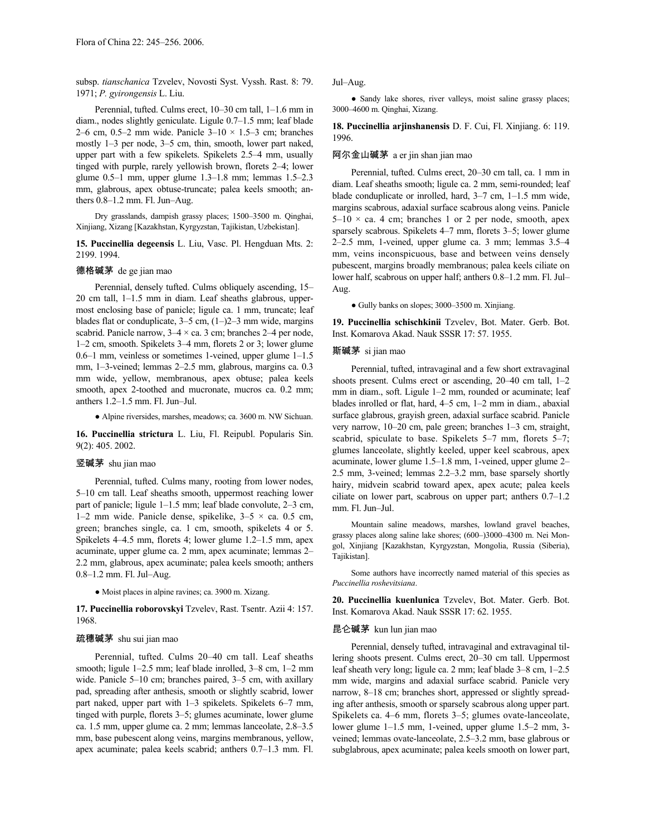subsp. *tianschanica* Tzvelev, Novosti Syst. Vyssh. Rast. 8: 79. 1971; *P. gyirongensis* L. Liu.

Perennial, tufted. Culms erect, 10–30 cm tall, 1–1.6 mm in diam., nodes slightly geniculate. Ligule 0.7–1.5 mm; leaf blade 2–6 cm, 0.5–2 mm wide. Panicle  $3-10 \times 1.5$ –3 cm; branches mostly 1–3 per node, 3–5 cm, thin, smooth, lower part naked, upper part with a few spikelets. Spikelets 2.5–4 mm, usually tinged with purple, rarely yellowish brown, florets 2–4; lower glume 0.5–1 mm, upper glume 1.3–1.8 mm; lemmas 1.5–2.3 mm, glabrous, apex obtuse-truncate; palea keels smooth; anthers 0.8–1.2 mm. Fl. Jun–Aug.

Dry grasslands, dampish grassy places; 1500–3500 m. Qinghai, Xinjiang, Xizang [Kazakhstan, Kyrgyzstan, Tajikistan, Uzbekistan].

**15. Puccinellia degeensis** L. Liu, Vasc. Pl. Hengduan Mts. 2: 2199. 1994.

### 德格碱茅 de ge jian mao

Perennial, densely tufted. Culms obliquely ascending, 15– 20 cm tall, 1–1.5 mm in diam. Leaf sheaths glabrous, uppermost enclosing base of panicle; ligule ca. 1 mm, truncate; leaf blades flat or conduplicate,  $3-5$  cm,  $(1-2-3)$  mm wide, margins scabrid. Panicle narrow,  $3-4 \times$  ca. 3 cm; branches  $2-4$  per node, 1–2 cm, smooth. Spikelets 3–4 mm, florets 2 or 3; lower glume 0.6–1 mm, veinless or sometimes 1-veined, upper glume 1–1.5 mm, 1–3-veined; lemmas 2–2.5 mm, glabrous, margins ca. 0.3 mm wide, yellow, membranous, apex obtuse; palea keels smooth, apex 2-toothed and mucronate, mucros ca. 0.2 mm; anthers 1.2–1.5 mm. Fl. Jun–Jul.

● Alpine riversides, marshes, meadows; ca. 3600 m. NW Sichuan.

**16. Puccinellia strictura** L. Liu, Fl. Reipubl. Popularis Sin. 9(2): 405. 2002.

### 竖碱茅 shu jian mao

Perennial, tufted. Culms many, rooting from lower nodes, 5–10 cm tall. Leaf sheaths smooth, uppermost reaching lower part of panicle; ligule 1–1.5 mm; leaf blade convolute, 2–3 cm, 1–2 mm wide. Panicle dense, spikelike,  $3-5 \times ca$ . 0.5 cm, green; branches single, ca. 1 cm, smooth, spikelets 4 or 5. Spikelets 4–4.5 mm, florets 4; lower glume 1.2–1.5 mm, apex acuminate, upper glume ca. 2 mm, apex acuminate; lemmas 2– 2.2 mm, glabrous, apex acuminate; palea keels smooth; anthers 0.8–1.2 mm. Fl. Jul–Aug.

● Moist places in alpine ravines; ca. 3900 m. Xizang.

**17. Puccinellia roborovskyi** Tzvelev, Rast. Tsentr. Azii 4: 157. 1968.

### 疏穗碱茅 shu sui jian mao

Perennial, tufted. Culms 20–40 cm tall. Leaf sheaths smooth; ligule 1–2.5 mm; leaf blade inrolled, 3–8 cm, 1–2 mm wide. Panicle 5–10 cm; branches paired, 3–5 cm, with axillary pad, spreading after anthesis, smooth or slightly scabrid, lower part naked, upper part with 1–3 spikelets. Spikelets 6–7 mm, tinged with purple, florets 3–5; glumes acuminate, lower glume ca. 1.5 mm, upper glume ca. 2 mm; lemmas lanceolate, 2.8–3.5 mm, base pubescent along veins, margins membranous, yellow, apex acuminate; palea keels scabrid; anthers 0.7–1.3 mm. Fl. Jul–Aug.

● Sandy lake shores, river valleys, moist saline grassy places; 3000–4600 m. Qinghai, Xizang.

**18. Puccinellia arjinshanensis** D. F. Cui, Fl. Xinjiang. 6: 119. 1996.

#### 阿尔金山碱茅 a er jin shan jian mao

Perennial, tufted. Culms erect, 20–30 cm tall, ca. 1 mm in diam. Leaf sheaths smooth; ligule ca. 2 mm, semi-rounded; leaf blade conduplicate or inrolled, hard, 3–7 cm, 1–1.5 mm wide, margins scabrous, adaxial surface scabrous along veins. Panicle  $5-10 \times$  ca. 4 cm; branches 1 or 2 per node, smooth, apex sparsely scabrous. Spikelets 4–7 mm, florets 3–5; lower glume 2–2.5 mm, 1-veined, upper glume ca. 3 mm; lemmas 3.5–4 mm, veins inconspicuous, base and between veins densely pubescent, margins broadly membranous; palea keels ciliate on lower half, scabrous on upper half; anthers 0.8–1.2 mm. Fl. Jul– Aug.

● Gully banks on slopes; 3000–3500 m. Xinjiang.

**19. Puccinellia schischkinii** Tzvelev, Bot. Mater. Gerb. Bot. Inst. Komarova Akad. Nauk SSSR 17: 57. 1955.

#### 斯碱茅 si jian mao

Perennial, tufted, intravaginal and a few short extravaginal shoots present. Culms erect or ascending, 20–40 cm tall, 1–2 mm in diam., soft. Ligule 1–2 mm, rounded or acuminate; leaf blades inrolled or flat, hard, 4–5 cm, 1–2 mm in diam., abaxial surface glabrous, grayish green, adaxial surface scabrid. Panicle very narrow, 10–20 cm, pale green; branches 1–3 cm, straight, scabrid, spiculate to base. Spikelets 5–7 mm, florets 5–7; glumes lanceolate, slightly keeled, upper keel scabrous, apex acuminate, lower glume 1.5–1.8 mm, 1-veined, upper glume 2– 2.5 mm, 3-veined; lemmas 2.2–3.2 mm, base sparsely shortly hairy, midvein scabrid toward apex, apex acute; palea keels ciliate on lower part, scabrous on upper part; anthers 0.7–1.2 mm. Fl. Jun–Jul.

Mountain saline meadows, marshes, lowland gravel beaches, grassy places along saline lake shores; (600–)3000–4300 m. Nei Mongol, Xinjiang [Kazakhstan, Kyrgyzstan, Mongolia, Russia (Siberia), Tajikistan].

Some authors have incorrectly named material of this species as *Puccinellia roshevitsiana*.

**20. Puccinellia kuenlunica** Tzvelev, Bot. Mater. Gerb. Bot. Inst. Komarova Akad. Nauk SSSR 17: 62. 1955.

### 昆仑碱茅 kun lun jian mao

Perennial, densely tufted, intravaginal and extravaginal tillering shoots present. Culms erect, 20–30 cm tall. Uppermost leaf sheath very long; ligule ca. 2 mm; leaf blade 3–8 cm, 1–2.5 mm wide, margins and adaxial surface scabrid. Panicle very narrow, 8–18 cm; branches short, appressed or slightly spreading after anthesis, smooth or sparsely scabrous along upper part. Spikelets ca. 4–6 mm, florets 3–5; glumes ovate-lanceolate, lower glume 1–1.5 mm, 1-veined, upper glume 1.5–2 mm, 3 veined; lemmas ovate-lanceolate, 2.5–3.2 mm, base glabrous or subglabrous, apex acuminate; palea keels smooth on lower part,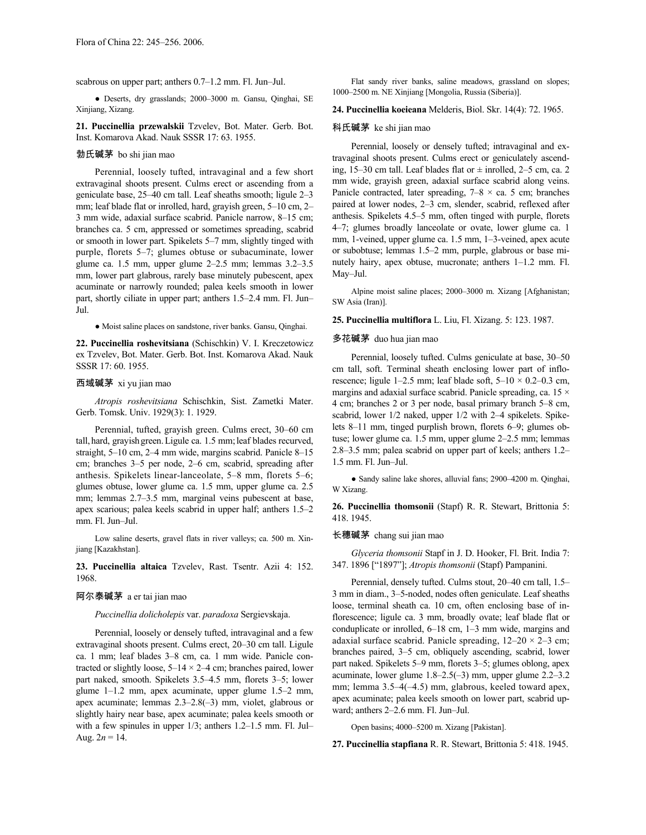scabrous on upper part; anthers 0.7–1.2 mm. Fl. Jun–Jul.

● Deserts, dry grasslands; 2000–3000 m. Gansu, Qinghai, SE Xinjiang, Xizang.

**21. Puccinellia przewalskii** Tzvelev, Bot. Mater. Gerb. Bot. Inst. Komarova Akad. Nauk SSSR 17: 63. 1955.

#### 勃氏碱茅 bo shi jian mao

Perennial, loosely tufted, intravaginal and a few short extravaginal shoots present. Culms erect or ascending from a geniculate base, 25–40 cm tall. Leaf sheaths smooth; ligule 2–3 mm; leaf blade flat or inrolled, hard, grayish green, 5–10 cm, 2– 3 mm wide, adaxial surface scabrid. Panicle narrow, 8–15 cm; branches ca. 5 cm, appressed or sometimes spreading, scabrid or smooth in lower part. Spikelets 5–7 mm, slightly tinged with purple, florets 5–7; glumes obtuse or subacuminate, lower glume ca. 1.5 mm, upper glume 2–2.5 mm; lemmas 3.2–3.5 mm, lower part glabrous, rarely base minutely pubescent, apex acuminate or narrowly rounded; palea keels smooth in lower part, shortly ciliate in upper part; anthers 1.5–2.4 mm. Fl. Jun– Jul.

● Moist saline places on sandstone, river banks. Gansu, Qinghai.

**22. Puccinellia roshevitsiana** (Schischkin) V. I. Kreczetowicz ex Tzvelev, Bot. Mater. Gerb. Bot. Inst. Komarova Akad. Nauk SSSR 17: 60. 1955.

### 西域碱茅 xi yu jian mao

*Atropis roshevitsiana* Schischkin, Sist. Zametki Mater. Gerb. Tomsk. Univ. 1929(3): 1. 1929.

Perennial, tufted, grayish green. Culms erect, 30–60 cm tall, hard, grayish green. Ligule ca. 1.5 mm; leaf blades recurved, straight, 5–10 cm, 2–4 mm wide, margins scabrid. Panicle 8–15 cm; branches 3–5 per node, 2–6 cm, scabrid, spreading after anthesis. Spikelets linear-lanceolate, 5–8 mm, florets 5–6; glumes obtuse, lower glume ca. 1.5 mm, upper glume ca. 2.5 mm; lemmas 2.7–3.5 mm, marginal veins pubescent at base, apex scarious; palea keels scabrid in upper half; anthers 1.5–2 mm. Fl. Jun–Jul.

Low saline deserts, gravel flats in river valleys; ca. 500 m. Xinjiang [Kazakhstan].

**23. Puccinellia altaica** Tzvelev, Rast. Tsentr. Azii 4: 152. 1968.

### 阿尔泰碱茅 a er tai jian mao

*Puccinellia dolicholepis* var. *paradoxa* Sergievskaja.

Perennial, loosely or densely tufted, intravaginal and a few extravaginal shoots present. Culms erect, 20–30 cm tall. Ligule ca. 1 mm; leaf blades 3–8 cm, ca. 1 mm wide. Panicle contracted or slightly loose,  $5-14 \times 2-4$  cm; branches paired, lower part naked, smooth. Spikelets 3.5–4.5 mm, florets 3–5; lower glume 1–1.2 mm, apex acuminate, upper glume 1.5–2 mm, apex acuminate; lemmas 2.3–2.8(–3) mm, violet, glabrous or slightly hairy near base, apex acuminate; palea keels smooth or with a few spinules in upper 1/3; anthers 1.2–1.5 mm. Fl. Jul– Aug.  $2n = 14$ .

Flat sandy river banks, saline meadows, grassland on slopes; 1000–2500 m. NE Xinjiang [Mongolia, Russia (Siberia)].

### **24. Puccinellia koeieana** Melderis, Biol. Skr. 14(4): 72. 1965.

### 科氏碱茅 ke shi jian mao

Perennial, loosely or densely tufted; intravaginal and extravaginal shoots present. Culms erect or geniculately ascending, 15–30 cm tall. Leaf blades flat or  $\pm$  inrolled, 2–5 cm, ca. 2 mm wide, grayish green, adaxial surface scabrid along veins. Panicle contracted, later spreading,  $7-8 \times$  ca. 5 cm; branches paired at lower nodes, 2–3 cm, slender, scabrid, reflexed after anthesis. Spikelets 4.5–5 mm, often tinged with purple, florets 4–7; glumes broadly lanceolate or ovate, lower glume ca. 1 mm, 1-veined, upper glume ca. 1.5 mm, 1–3-veined, apex acute or subobtuse; lemmas 1.5–2 mm, purple, glabrous or base minutely hairy, apex obtuse, mucronate; anthers 1–1.2 mm. Fl. May–Jul.

Alpine moist saline places; 2000–3000 m. Xizang [Afghanistan; SW Asia (Iran)].

**25. Puccinellia multiflora** L. Liu, Fl. Xizang. 5: 123. 1987.

#### 多花碱茅 duo hua jian mao

Perennial, loosely tufted. Culms geniculate at base, 30–50 cm tall, soft. Terminal sheath enclosing lower part of inflorescence; ligule 1–2.5 mm; leaf blade soft,  $5-10 \times 0.2-0.3$  cm, margins and adaxial surface scabrid. Panicle spreading, ca.  $15 \times$ 4 cm; branches 2 or 3 per node, basal primary branch 5–8 cm, scabrid, lower 1/2 naked, upper 1/2 with 2–4 spikelets. Spikelets 8–11 mm, tinged purplish brown, florets 6–9; glumes obtuse; lower glume ca. 1.5 mm, upper glume 2–2.5 mm; lemmas 2.8–3.5 mm; palea scabrid on upper part of keels; anthers 1.2– 1.5 mm. Fl. Jun–Jul.

● Sandy saline lake shores, alluvial fans; 2900–4200 m. Qinghai, W Xizang.

**26. Puccinellia thomsonii** (Stapf) R. R. Stewart, Brittonia 5: 418. 1945.

#### 长穗碱茅 chang sui jian mao

*Glyceria thomsonii* Stapf in J. D. Hooker, Fl. Brit. India 7: 347. 1896 ["1897"]; *Atropis thomsonii* (Stapf) Pampanini.

Perennial, densely tufted. Culms stout, 20–40 cm tall, 1.5– 3 mm in diam., 3–5-noded, nodes often geniculate. Leaf sheaths loose, terminal sheath ca. 10 cm, often enclosing base of inflorescence; ligule ca. 3 mm, broadly ovate; leaf blade flat or conduplicate or inrolled, 6–18 cm, 1–3 mm wide, margins and adaxial surface scabrid. Panicle spreading,  $12-20 \times 2-3$  cm; branches paired, 3–5 cm, obliquely ascending, scabrid, lower part naked. Spikelets 5–9 mm, florets 3–5; glumes oblong, apex acuminate, lower glume 1.8–2.5(–3) mm, upper glume 2.2–3.2 mm; lemma 3.5–4(–4.5) mm, glabrous, keeled toward apex, apex acuminate; palea keels smooth on lower part, scabrid upward; anthers 2–2.6 mm. Fl. Jun–Jul.

Open basins; 4000–5200 m. Xizang [Pakistan].

**27. Puccinellia stapfiana** R. R. Stewart, Brittonia 5: 418. 1945.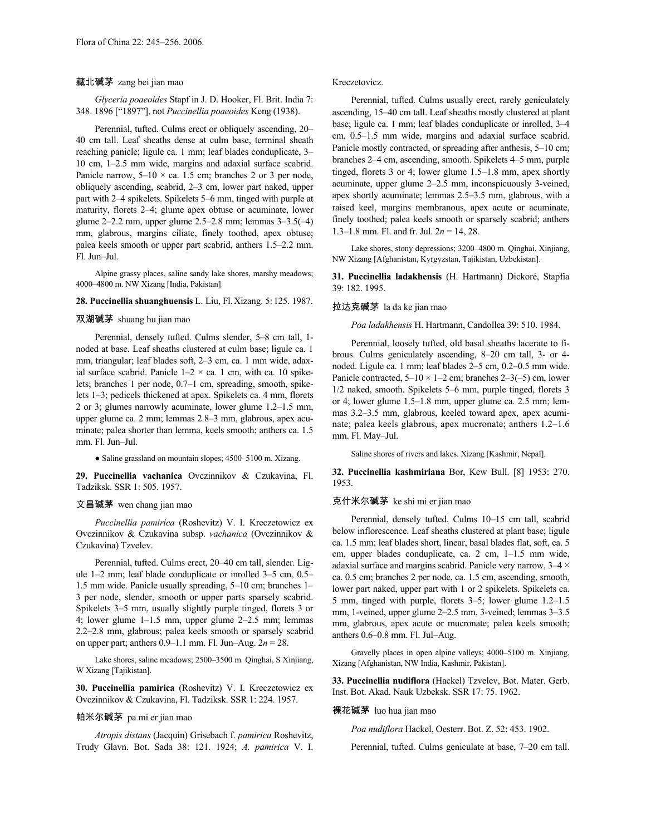### 藏北碱茅 zang bei jian mao

*Glyceria poaeoides* Stapf in J. D. Hooker, Fl. Brit. India 7: 348. 1896 ["1897"], not *Puccinellia poaeoides* Keng (1938).

Perennial, tufted. Culms erect or obliquely ascending, 20– 40 cm tall. Leaf sheaths dense at culm base, terminal sheath reaching panicle; ligule ca. 1 mm; leaf blades conduplicate, 3– 10 cm, 1–2.5 mm wide, margins and adaxial surface scabrid. Panicle narrow,  $5-10 \times$  ca. 1.5 cm; branches 2 or 3 per node, obliquely ascending, scabrid, 2–3 cm, lower part naked, upper part with 2–4 spikelets. Spikelets 5–6 mm, tinged with purple at maturity, florets 2–4; glume apex obtuse or acuminate, lower glume 2–2.2 mm, upper glume 2.5–2.8 mm; lemmas 3–3.5(–4) mm, glabrous, margins ciliate, finely toothed, apex obtuse; palea keels smooth or upper part scabrid, anthers 1.5–2.2 mm. Fl. Jun–Jul.

Alpine grassy places, saline sandy lake shores, marshy meadows; 4000–4800 m. NW Xizang [India, Pakistan].

# **28. Puccinellia shuanghuensis** L. Liu, Fl.Xizang. 5:125. 1987.

#### 双湖碱茅 shuang hu jian mao

Perennial, densely tufted. Culms slender, 5–8 cm tall, 1 noded at base. Leaf sheaths clustered at culm base; ligule ca. 1 mm, triangular; leaf blades soft, 2–3 cm, ca. 1 mm wide, adaxial surface scabrid. Panicle  $1-2 \times$  ca. 1 cm, with ca. 10 spikelets; branches 1 per node, 0.7–1 cm, spreading, smooth, spikelets 1–3; pedicels thickened at apex. Spikelets ca. 4 mm, florets 2 or 3; glumes narrowly acuminate, lower glume 1.2–1.5 mm, upper glume ca. 2 mm; lemmas 2.8–3 mm, glabrous, apex acuminate; palea shorter than lemma, keels smooth; anthers ca. 1.5 mm. Fl. Jun–Jul.

● Saline grassland on mountain slopes; 4500–5100 m. Xizang.

**29. Puccinellia vachanica** Ovczinnikov & Czukavina, Fl. Tadziksk. SSR 1: 505. 1957.

#### 文昌碱茅 wen chang jian mao

*Puccinellia pamirica* (Roshevitz) V. I. Kreczetowicz ex Ovczinnikov & Czukavina subsp. *vachanica* (Ovczinnikov & Czukavina) Tzvelev.

Perennial, tufted. Culms erect, 20–40 cm tall, slender. Ligule 1–2 mm; leaf blade conduplicate or inrolled 3–5 cm, 0.5– 1.5 mm wide. Panicle usually spreading, 5–10 cm; branches 1– 3 per node, slender, smooth or upper parts sparsely scabrid. Spikelets 3–5 mm, usually slightly purple tinged, florets 3 or 4; lower glume 1–1.5 mm, upper glume 2–2.5 mm; lemmas 2.2–2.8 mm, glabrous; palea keels smooth or sparsely scabrid on upper part; anthers 0.9–1.1 mm. Fl. Jun–Aug. 2*n* = 28.

Lake shores, saline meadows; 2500–3500 m. Qinghai, S Xinjiang, W Xizang [Tajikistan].

**30. Puccinellia pamirica** (Roshevitz) V. I. Kreczetowicz ex Ovczinnikov & Czukavina, Fl. Tadziksk. SSR 1: 224. 1957.

#### 帕米尔碱茅 pa mi er jian mao

*Atropis distans* (Jacquin) Grisebach f. *pamirica* Roshevitz, Trudy Glavn. Bot. Sada 38: 121. 1924; *A. pamirica* V. I.

### Kreczetovicz.

Perennial, tufted. Culms usually erect, rarely geniculately ascending, 15–40 cm tall. Leaf sheaths mostly clustered at plant base; ligule ca. 1 mm; leaf blades conduplicate or inrolled, 3–4 cm, 0.5–1.5 mm wide, margins and adaxial surface scabrid. Panicle mostly contracted, or spreading after anthesis, 5–10 cm; branches 2–4 cm, ascending, smooth. Spikelets 4–5 mm, purple tinged, florets 3 or 4; lower glume 1.5–1.8 mm, apex shortly acuminate, upper glume 2–2.5 mm, inconspicuously 3-veined, apex shortly acuminate; lemmas 2.5–3.5 mm, glabrous, with a raised keel, margins membranous, apex acute or acuminate, finely toothed; palea keels smooth or sparsely scabrid; anthers 1.3–1.8 mm. Fl. and fr. Jul. 2*n* = 14, 28.

Lake shores, stony depressions; 3200–4800 m. Qinghai, Xinjiang, NW Xizang [Afghanistan, Kyrgyzstan, Tajikistan, Uzbekistan].

**31. Puccinellia ladakhensis** (H. Hartmann) Dickoré, Stapfia 39: 182. 1995.

#### 拉达克碱茅 la da ke jian mao

*Poa ladakhensis* H. Hartmann, Candollea 39: 510. 1984.

Perennial, loosely tufted, old basal sheaths lacerate to fibrous. Culms geniculately ascending, 8–20 cm tall, 3- or 4 noded. Ligule ca. 1 mm; leaf blades 2–5 cm, 0.2–0.5 mm wide. Panicle contracted,  $5-10 \times 1-2$  cm; branches  $2-3(-5)$  cm, lower 1/2 naked, smooth. Spikelets 5–6 mm, purple tinged, florets 3 or 4; lower glume 1.5–1.8 mm, upper glume ca. 2.5 mm; lemmas 3.2–3.5 mm, glabrous, keeled toward apex, apex acuminate; palea keels glabrous, apex mucronate; anthers 1.2–1.6 mm. Fl. May–Jul.

Saline shores of rivers and lakes. Xizang [Kashmir, Nepal].

**32. Puccinellia kashmiriana** Bor, Kew Bull. [8] 1953: 270. 1953.

#### 克什米尔碱茅 ke shi mi er jian mao

Perennial, densely tufted. Culms 10–15 cm tall, scabrid below inflorescence. Leaf sheaths clustered at plant base; ligule ca. 1.5 mm; leaf blades short, linear, basal blades flat, soft, ca. 5 cm, upper blades conduplicate, ca. 2 cm, 1–1.5 mm wide, adaxial surface and margins scabrid. Panicle very narrow,  $3-4 \times$ ca. 0.5 cm; branches 2 per node, ca. 1.5 cm, ascending, smooth, lower part naked, upper part with 1 or 2 spikelets. Spikelets ca. 5 mm, tinged with purple, florets 3–5; lower glume 1.2–1.5 mm, 1-veined, upper glume 2–2.5 mm, 3-veined; lemmas 3–3.5 mm, glabrous, apex acute or mucronate; palea keels smooth; anthers 0.6–0.8 mm. Fl. Jul–Aug.

Gravelly places in open alpine valleys; 4000–5100 m. Xinjiang, Xizang [Afghanistan, NW India, Kashmir, Pakistan].

**33. Puccinellia nudiflora** (Hackel) Tzvelev, Bot. Mater. Gerb. Inst. Bot. Akad. Nauk Uzbeksk. SSR 17: 75. 1962.

#### 裸花碱茅 luo hua jian mao

*Poa nudiflora* Hackel, Oesterr. Bot. Z. 52: 453. 1902.

Perennial, tufted. Culms geniculate at base, 7–20 cm tall.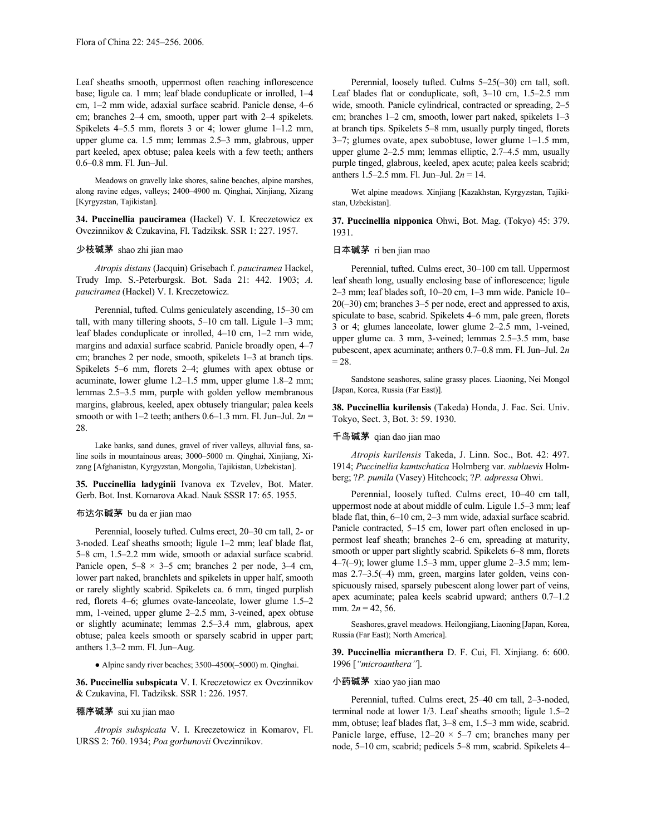Leaf sheaths smooth, uppermost often reaching inflorescence base; ligule ca. 1 mm; leaf blade conduplicate or inrolled, 1–4 cm, 1–2 mm wide, adaxial surface scabrid. Panicle dense, 4–6 cm; branches 2–4 cm, smooth, upper part with 2–4 spikelets. Spikelets 4–5.5 mm, florets 3 or 4; lower glume 1–1.2 mm, upper glume ca. 1.5 mm; lemmas 2.5–3 mm, glabrous, upper part keeled, apex obtuse; palea keels with a few teeth; anthers 0.6–0.8 mm. Fl. Jun–Jul.

Meadows on gravelly lake shores, saline beaches, alpine marshes, along ravine edges, valleys; 2400–4900 m. Qinghai, Xinjiang, Xizang [Kyrgyzstan, Tajikistan].

**34. Puccinellia pauciramea** (Hackel) V. I. Kreczetowicz ex Ovczinnikov & Czukavina, Fl. Tadziksk. SSR 1: 227. 1957.

#### 少枝碱茅 shao zhi jian mao

*Atropis distans* (Jacquin) Grisebach f. *pauciramea* Hackel, Trudy Imp. S.-Peterburgsk. Bot. Sada 21: 442. 1903; *A. pauciramea* (Hackel) V. I. Kreczetowicz.

Perennial, tufted. Culms geniculately ascending, 15–30 cm tall, with many tillering shoots, 5–10 cm tall. Ligule 1–3 mm; leaf blades conduplicate or inrolled, 4–10 cm, 1–2 mm wide, margins and adaxial surface scabrid. Panicle broadly open, 4–7 cm; branches 2 per node, smooth, spikelets 1–3 at branch tips. Spikelets 5–6 mm, florets 2–4; glumes with apex obtuse or acuminate, lower glume 1.2–1.5 mm, upper glume 1.8–2 mm; lemmas 2.5–3.5 mm, purple with golden yellow membranous margins, glabrous, keeled, apex obtusely triangular; palea keels smooth or with  $1-2$  teeth; anthers  $0.6-1.3$  mm. Fl. Jun–Jul.  $2n =$ 28.

Lake banks, sand dunes, gravel of river valleys, alluvial fans, saline soils in mountainous areas; 3000–5000 m. Qinghai, Xinjiang, Xizang [Afghanistan, Kyrgyzstan, Mongolia, Tajikistan, Uzbekistan].

**35. Puccinellia ladyginii** Ivanova ex Tzvelev, Bot. Mater. Gerb. Bot. Inst. Komarova Akad. Nauk SSSR 17: 65. 1955.

# 布达尔碱茅 bu da er jian mao

Perennial, loosely tufted. Culms erect, 20–30 cm tall, 2- or 3-noded. Leaf sheaths smooth; ligule 1–2 mm; leaf blade flat, 5–8 cm, 1.5–2.2 mm wide, smooth or adaxial surface scabrid. Panicle open,  $5-8 \times 3-5$  cm; branches 2 per node,  $3-4$  cm, lower part naked, branchlets and spikelets in upper half, smooth or rarely slightly scabrid. Spikelets ca. 6 mm, tinged purplish red, florets 4–6; glumes ovate-lanceolate, lower glume 1.5–2 mm, 1-veined, upper glume 2–2.5 mm, 3-veined, apex obtuse or slightly acuminate; lemmas 2.5–3.4 mm, glabrous, apex obtuse; palea keels smooth or sparsely scabrid in upper part; anthers 1.3–2 mm. Fl. Jun–Aug.

● Alpine sandy river beaches; 3500–4500(–5000) m. Qinghai.

**36. Puccinellia subspicata** V. I. Kreczetowicz ex Ovczinnikov & Czukavina, Fl. Tadziksk. SSR 1: 226. 1957.

# 穗序碱茅 sui xu jian mao

*Atropis subspicata* V. I. Kreczetowicz in Komarov, Fl. URSS 2: 760. 1934; *Poa gorbunovii* Ovczinnikov.

Perennial, loosely tufted. Culms 5–25(–30) cm tall, soft. Leaf blades flat or conduplicate, soft, 3–10 cm, 1.5–2.5 mm wide, smooth. Panicle cylindrical, contracted or spreading, 2–5 cm; branches 1–2 cm, smooth, lower part naked, spikelets 1–3 at branch tips. Spikelets 5–8 mm, usually purply tinged, florets 3–7; glumes ovate, apex subobtuse, lower glume 1–1.5 mm, upper glume 2–2.5 mm; lemmas elliptic, 2.7–4.5 mm, usually purple tinged, glabrous, keeled, apex acute; palea keels scabrid; anthers 1.5–2.5 mm. Fl. Jun–Jul. 2*n* = 14.

Wet alpine meadows. Xinjiang [Kazakhstan, Kyrgyzstan, Tajikistan, Uzbekistan].

**37. Puccinellia nipponica** Ohwi, Bot. Mag. (Tokyo) 45: 379. 1931.

### 日本碱茅 ri ben jian mao

Perennial, tufted. Culms erect, 30–100 cm tall. Uppermost leaf sheath long, usually enclosing base of inflorescence; ligule 2–3 mm; leaf blades soft, 10–20 cm, 1–3 mm wide. Panicle 10– 20(–30) cm; branches 3–5 per node, erect and appressed to axis, spiculate to base, scabrid. Spikelets 4–6 mm, pale green, florets 3 or 4; glumes lanceolate, lower glume 2–2.5 mm, 1-veined, upper glume ca. 3 mm, 3-veined; lemmas 2.5–3.5 mm, base pubescent, apex acuminate; anthers 0.7–0.8 mm. Fl. Jun–Jul. 2*n*  $= 28.$ 

Sandstone seashores, saline grassy places. Liaoning, Nei Mongol [Japan, Korea, Russia (Far East)].

**38. Puccinellia kurilensis** (Takeda) Honda, J. Fac. Sci. Univ. Tokyo, Sect. 3, Bot. 3: 59. 1930.

#### 千岛碱茅 qian dao jian mao

*Atropis kurilensis* Takeda, J. Linn. Soc., Bot. 42: 497. 1914; *Puccinellia kamtschatica* Holmberg var. *sublaevis* Holmberg; ?*P. pumila* (Vasey) Hitchcock; ?*P. adpressa* Ohwi.

Perennial, loosely tufted. Culms erect, 10–40 cm tall, uppermost node at about middle of culm. Ligule 1.5–3 mm; leaf blade flat, thin, 6–10 cm, 2–3 mm wide, adaxial surface scabrid. Panicle contracted, 5–15 cm, lower part often enclosed in uppermost leaf sheath; branches 2–6 cm, spreading at maturity, smooth or upper part slightly scabrid. Spikelets 6–8 mm, florets 4–7(–9); lower glume 1.5–3 mm, upper glume 2–3.5 mm; lemmas 2.7–3.5(–4) mm, green, margins later golden, veins conspicuously raised, sparsely pubescent along lower part of veins, apex acuminate; palea keels scabrid upward; anthers 0.7–1.2 mm.  $2n = 42, 56$ .

Seashores, gravel meadows. Heilongjiang,Liaoning [Japan, Korea, Russia (Far East); North America].

**39. Puccinellia micranthera** D. F. Cui, Fl. Xinjiang. 6: 600. 1996 [*"microanthera"*].

#### 小药碱茅 xiao yao jian mao

Perennial, tufted. Culms erect, 25–40 cm tall, 2–3-noded, terminal node at lower 1/3. Leaf sheaths smooth; ligule 1.5–2 mm, obtuse; leaf blades flat, 3–8 cm, 1.5–3 mm wide, scabrid. Panicle large, effuse,  $12-20 \times 5-7$  cm; branches many per node, 5–10 cm, scabrid; pedicels 5–8 mm, scabrid. Spikelets 4–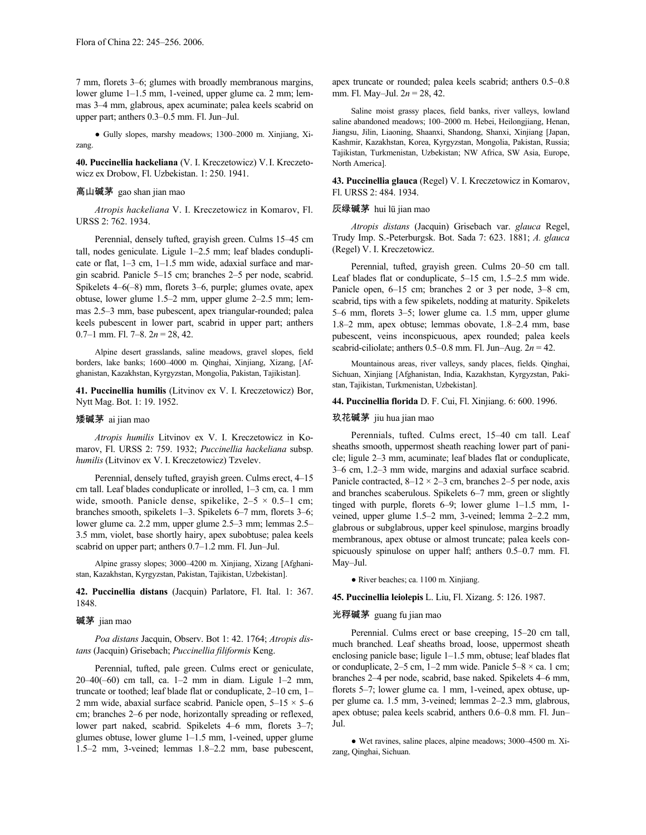7 mm, florets 3–6; glumes with broadly membranous margins, lower glume 1–1.5 mm, 1-veined, upper glume ca. 2 mm; lemmas 3–4 mm, glabrous, apex acuminate; palea keels scabrid on upper part; anthers 0.3–0.5 mm. Fl. Jun–Jul.

● Gully slopes, marshy meadows; 1300–2000 m. Xinjiang, Xizang.

**40. Puccinellia hackeliana** (V. I. Kreczetowicz) V.I. Kreczetowicz ex Drobow, Fl. Uzbekistan. 1: 250. 1941.

## 高山碱茅 gao shan jian mao

*Atropis hackeliana* V. I. Kreczetowicz in Komarov, Fl. URSS 2: 762. 1934.

Perennial, densely tufted, grayish green. Culms 15–45 cm tall, nodes geniculate. Ligule 1–2.5 mm; leaf blades conduplicate or flat, 1–3 cm, 1–1.5 mm wide, adaxial surface and margin scabrid. Panicle 5–15 cm; branches 2–5 per node, scabrid. Spikelets 4–6(–8) mm, florets 3–6, purple; glumes ovate, apex obtuse, lower glume 1.5–2 mm, upper glume 2–2.5 mm; lemmas 2.5–3 mm, base pubescent, apex triangular-rounded; palea keels pubescent in lower part, scabrid in upper part; anthers 0.7–1 mm. Fl. 7–8. 2*n* = 28, 42.

Alpine desert grasslands, saline meadows, gravel slopes, field borders, lake banks; 1600–4000 m. Qinghai, Xinjiang, Xizang, [Afghanistan, Kazakhstan, Kyrgyzstan, Mongolia, Pakistan, Tajikistan].

**41. Puccinellia humilis** (Litvinov ex V. I. Kreczetowicz) Bor, Nytt Mag. Bot. 1: 19. 1952.

#### 矮碱茅 ai jian mao

*Atropis humilis* Litvinov ex V. I. Kreczetowicz in Komarov, Fl. URSS 2: 759. 1932; *Puccinellia hackeliana* subsp. *humilis* (Litvinov ex V. I. Kreczetowicz) Tzvelev.

Perennial, densely tufted, grayish green. Culms erect, 4–15 cm tall. Leaf blades conduplicate or inrolled, 1–3 cm, ca. 1 mm wide, smooth. Panicle dense, spikelike,  $2-5 \times 0.5-1$  cm; branches smooth, spikelets 1–3. Spikelets 6–7 mm, florets 3–6; lower glume ca. 2.2 mm, upper glume 2.5–3 mm; lemmas 2.5– 3.5 mm, violet, base shortly hairy, apex subobtuse; palea keels scabrid on upper part; anthers 0.7–1.2 mm. Fl. Jun–Jul.

Alpine grassy slopes; 3000–4200 m. Xinjiang, Xizang [Afghanistan, Kazakhstan, Kyrgyzstan, Pakistan, Tajikistan, Uzbekistan].

**42. Puccinellia distans** (Jacquin) Parlatore, Fl. Ital. 1: 367. 1848.

#### 碱茅 jian mao

*Poa distans* Jacquin, Observ. Bot 1: 42. 1764; *Atropis distans* (Jacquin) Grisebach; *Puccinellia filiformis* Keng.

Perennial, tufted, pale green. Culms erect or geniculate, 20–40(–60) cm tall, ca. 1–2 mm in diam. Ligule 1–2 mm, truncate or toothed; leaf blade flat or conduplicate, 2–10 cm, 1– 2 mm wide, abaxial surface scabrid. Panicle open,  $5-15 \times 5-6$ cm; branches 2–6 per node, horizontally spreading or reflexed, lower part naked, scabrid. Spikelets 4–6 mm, florets 3–7; glumes obtuse, lower glume 1–1.5 mm, 1-veined, upper glume 1.5–2 mm, 3-veined; lemmas 1.8–2.2 mm, base pubescent, apex truncate or rounded; palea keels scabrid; anthers 0.5–0.8 mm. Fl. May–Jul. 2*n* = 28, 42.

Saline moist grassy places, field banks, river valleys, lowland saline abandoned meadows; 100–2000 m. Hebei, Heilongjiang, Henan, Jiangsu, Jilin, Liaoning, Shaanxi, Shandong, Shanxi, Xinjiang [Japan, Kashmir, Kazakhstan, Korea, Kyrgyzstan, Mongolia, Pakistan, Russia; Tajikistan, Turkmenistan, Uzbekistan; NW Africa, SW Asia, Europe, North America].

**43. Puccinellia glauca** (Regel) V. I. Kreczetowicz in Komarov, Fl. URSS 2: 484. 1934.

#### 灰绿碱茅 hui lü jian mao

*Atropis distans* (Jacquin) Grisebach var. *glauca* Regel, Trudy Imp. S.-Peterburgsk. Bot. Sada 7: 623. 1881; *A. glauca* (Regel) V. I. Kreczetowicz.

Perennial, tufted, grayish green. Culms 20–50 cm tall. Leaf blades flat or conduplicate, 5–15 cm, 1.5–2.5 mm wide. Panicle open, 6–15 cm; branches 2 or 3 per node, 3–8 cm, scabrid, tips with a few spikelets, nodding at maturity. Spikelets 5–6 mm, florets 3–5; lower glume ca. 1.5 mm, upper glume 1.8–2 mm, apex obtuse; lemmas obovate, 1.8–2.4 mm, base pubescent, veins inconspicuous, apex rounded; palea keels scabrid-ciliolate; anthers  $0.5-0.8$  mm. Fl. Jun–Aug.  $2n = 42$ .

Mountainous areas, river valleys, sandy places, fields. Qinghai, Sichuan, Xinjiang [Afghanistan, India, Kazakhstan, Kyrgyzstan, Pakistan, Tajikistan, Turkmenistan, Uzbekistan].

#### **44. Puccinellia florida** D. F. Cui, Fl. Xinjiang. 6: 600. 1996.

#### 玖花碱茅 jiu hua jian mao

Perennials, tufted. Culms erect, 15–40 cm tall. Leaf sheaths smooth, uppermost sheath reaching lower part of panicle; ligule 2–3 mm, acuminate; leaf blades flat or conduplicate, 3–6 cm, 1.2–3 mm wide, margins and adaxial surface scabrid. Panicle contracted,  $8-12 \times 2-3$  cm, branches 2-5 per node, axis and branches scaberulous. Spikelets 6–7 mm, green or slightly tinged with purple, florets 6–9; lower glume 1–1.5 mm, 1 veined, upper glume 1.5–2 mm, 3-veined; lemma 2–2.2 mm, glabrous or subglabrous, upper keel spinulose, margins broadly membranous, apex obtuse or almost truncate; palea keels conspicuously spinulose on upper half; anthers 0.5–0.7 mm. Fl. May–Jul.

● River beaches; ca. 1100 m. Xinjiang.

**45. Puccinellia leiolepis** L. Liu, Fl. Xizang. 5: 126. 1987.

# 光稃碱茅 guang fu jian mao

Perennial. Culms erect or base creeping, 15–20 cm tall, much branched. Leaf sheaths broad, loose, uppermost sheath enclosing panicle base; ligule 1–1.5 mm, obtuse; leaf blades flat or conduplicate,  $2-5$  cm,  $1-2$  mm wide. Panicle  $5-8 \times$  ca. 1 cm; branches 2–4 per node, scabrid, base naked. Spikelets 4–6 mm, florets 5–7; lower glume ca. 1 mm, 1-veined, apex obtuse, upper glume ca. 1.5 mm, 3-veined; lemmas 2–2.3 mm, glabrous, apex obtuse; palea keels scabrid, anthers 0.6–0.8 mm. Fl. Jun– Jul.

● Wet ravines, saline places, alpine meadows; 3000–4500 m. Xizang, Qinghai, Sichuan.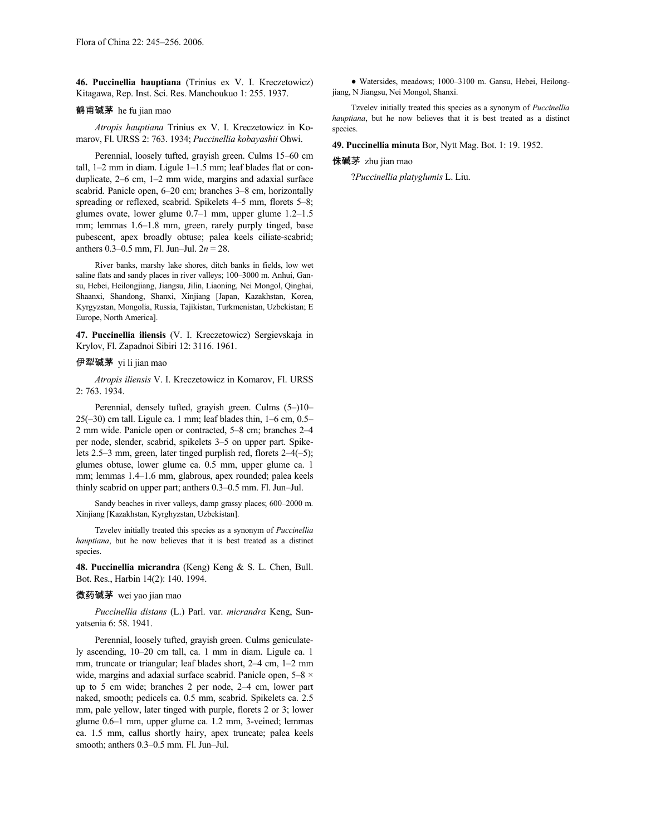**46. Puccinellia hauptiana** (Trinius ex V. I. Kreczetowicz) Kitagawa, Rep. Inst. Sci. Res. Manchoukuo 1: 255. 1937.

#### 鹤甫碱茅 he fu jian mao

*Atropis hauptiana* Trinius ex V. I. Kreczetowicz in Komarov, Fl. URSS 2: 763. 1934; *Puccinellia kobayashii* Ohwi.

Perennial, loosely tufted, grayish green. Culms 15–60 cm tall, 1–2 mm in diam. Ligule 1–1.5 mm; leaf blades flat or conduplicate, 2–6 cm, 1–2 mm wide, margins and adaxial surface scabrid. Panicle open, 6–20 cm; branches 3–8 cm, horizontally spreading or reflexed, scabrid. Spikelets 4–5 mm, florets 5–8; glumes ovate, lower glume 0.7–1 mm, upper glume 1.2–1.5 mm; lemmas 1.6–1.8 mm, green, rarely purply tinged, base pubescent, apex broadly obtuse; palea keels ciliate-scabrid; anthers 0.3–0.5 mm, Fl. Jun–Jul. 2*n* = 28.

River banks, marshy lake shores, ditch banks in fields, low wet saline flats and sandy places in river valleys; 100–3000 m. Anhui, Gansu, Hebei, Heilongjiang, Jiangsu, Jilin, Liaoning, Nei Mongol, Qinghai, Shaanxi, Shandong, Shanxi, Xinjiang [Japan, Kazakhstan, Korea, Kyrgyzstan, Mongolia, Russia, Tajikistan, Turkmenistan, Uzbekistan; E Europe, North America].

**47. Puccinellia iliensis** (V. I. Kreczetowicz) Sergievskaja in Krylov, Fl. Zapadnoi Sibiri 12: 3116. 1961.

#### 伊犁碱茅 yi li jian mao

*Atropis iliensis* V. I. Kreczetowicz in Komarov, Fl. URSS 2: 763. 1934.

Perennial, densely tufted, grayish green. Culms (5–)10–  $25(-30)$  cm tall. Ligule ca. 1 mm; leaf blades thin,  $1-6$  cm,  $0.5-$ 2 mm wide. Panicle open or contracted, 5–8 cm; branches 2–4 per node, slender, scabrid, spikelets 3–5 on upper part. Spikelets 2.5–3 mm, green, later tinged purplish red, florets 2–4(–5); glumes obtuse, lower glume ca. 0.5 mm, upper glume ca. 1 mm; lemmas 1.4–1.6 mm, glabrous, apex rounded; palea keels thinly scabrid on upper part; anthers 0.3–0.5 mm. Fl. Jun–Jul.

Sandy beaches in river valleys, damp grassy places; 600–2000 m. Xinjiang [Kazakhstan, Kyrghyzstan, Uzbekistan].

Tzvelev initially treated this species as a synonym of *Puccinellia hauptiana*, but he now believes that it is best treated as a distinct species.

**48. Puccinellia micrandra** (Keng) Keng & S. L. Chen, Bull. Bot. Res., Harbin 14(2): 140. 1994.

#### 微药碱茅 wei yao jian mao

*Puccinellia distans* (L.) Parl. var. *micrandra* Keng, Sunyatsenia 6: 58. 1941.

Perennial, loosely tufted, grayish green. Culms geniculately ascending, 10–20 cm tall, ca. 1 mm in diam. Ligule ca. 1 mm, truncate or triangular; leaf blades short, 2–4 cm, 1–2 mm wide, margins and adaxial surface scabrid. Panicle open,  $5-8 \times$ up to 5 cm wide; branches 2 per node, 2–4 cm, lower part naked, smooth; pedicels ca. 0.5 mm, scabrid. Spikelets ca. 2.5 mm, pale yellow, later tinged with purple, florets 2 or 3; lower glume 0.6–1 mm, upper glume ca. 1.2 mm, 3-veined; lemmas ca. 1.5 mm, callus shortly hairy, apex truncate; palea keels smooth; anthers 0.3–0.5 mm. Fl. Jun–Jul.

● Watersides, meadows; 1000–3100 m. Gansu, Hebei, Heilongjiang, N Jiangsu, Nei Mongol, Shanxi.

Tzvelev initially treated this species as a synonym of *Puccinellia hauptiana*, but he now believes that it is best treated as a distinct species.

**49. Puccinellia minuta** Bor, Nytt Mag. Bot. 1: 19. 1952.

#### 侏碱茅 zhu jian mao

?*Puccinellia platyglumis* L. Liu.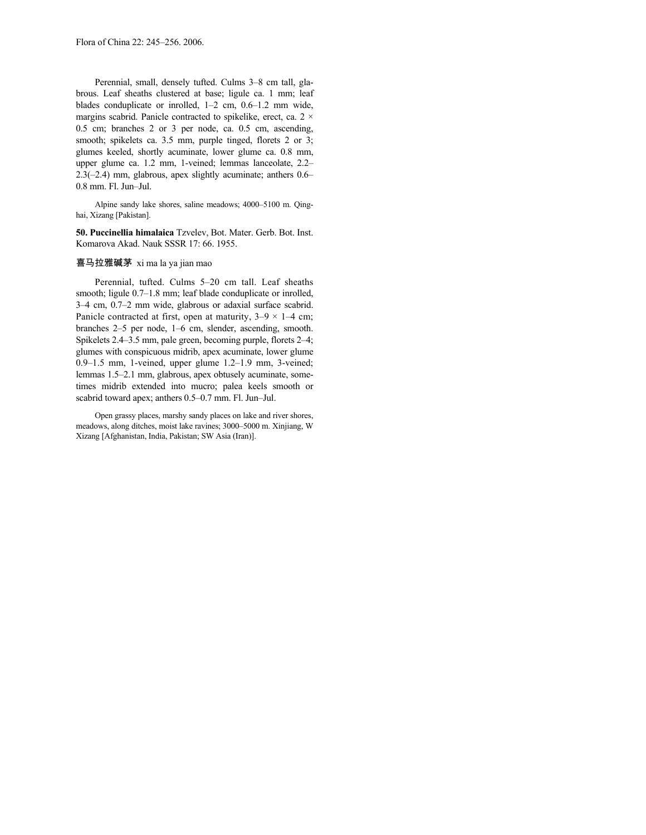Perennial, small, densely tufted. Culms 3–8 cm tall, glabrous. Leaf sheaths clustered at base; ligule ca. 1 mm; leaf blades conduplicate or inrolled, 1–2 cm, 0.6–1.2 mm wide, margins scabrid. Panicle contracted to spikelike, erect, ca.  $2 \times$ 0.5 cm; branches 2 or 3 per node, ca. 0.5 cm, ascending, smooth; spikelets ca. 3.5 mm, purple tinged, florets 2 or 3; glumes keeled, shortly acuminate, lower glume ca. 0.8 mm, upper glume ca. 1.2 mm, 1-veined; lemmas lanceolate, 2.2– 2.3(–2.4) mm, glabrous, apex slightly acuminate; anthers 0.6– 0.8 mm. Fl. Jun–Jul.

Alpine sandy lake shores, saline meadows; 4000–5100 m. Qinghai, Xizang [Pakistan].

**50. Puccinellia himalaica** Tzvelev, Bot. Mater. Gerb. Bot. Inst. Komarova Akad. Nauk SSSR 17: 66. 1955.

### 喜马拉雅碱茅 xi ma la ya jian mao

Perennial, tufted. Culms 5–20 cm tall. Leaf sheaths smooth; ligule 0.7–1.8 mm; leaf blade conduplicate or inrolled, 3–4 cm, 0.7–2 mm wide, glabrous or adaxial surface scabrid. Panicle contracted at first, open at maturity,  $3-9 \times 1-4$  cm; branches 2–5 per node, 1–6 cm, slender, ascending, smooth. Spikelets 2.4–3.5 mm, pale green, becoming purple, florets 2–4; glumes with conspicuous midrib, apex acuminate, lower glume 0.9–1.5 mm, 1-veined, upper glume 1.2–1.9 mm, 3-veined; lemmas 1.5–2.1 mm, glabrous, apex obtusely acuminate, sometimes midrib extended into mucro; palea keels smooth or scabrid toward apex; anthers 0.5–0.7 mm. Fl. Jun–Jul.

Open grassy places, marshy sandy places on lake and river shores, meadows, along ditches, moist lake ravines; 3000–5000 m. Xinjiang, W Xizang [Afghanistan, India, Pakistan; SW Asia (Iran)].